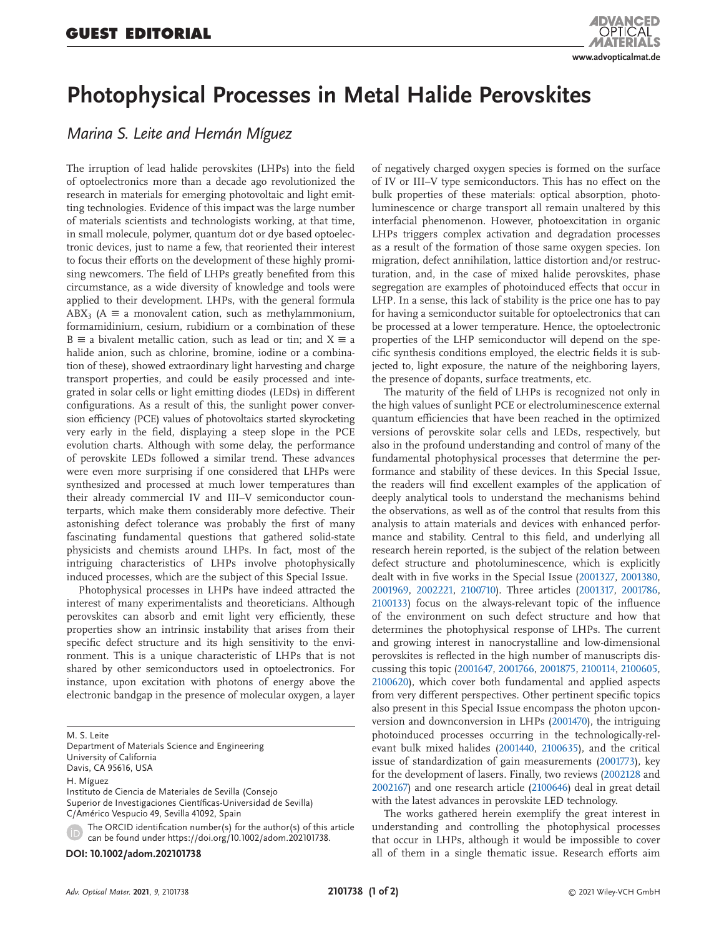## **Photophysical Processes in Metal Halide Perovskites**

*Marina S. Leite and Hernán Míguez*

The irruption of lead halide perovskites (LHPs) into the field of optoelectronics more than a decade ago revolutionized the research in materials for emerging photovoltaic and light emitting technologies. Evidence of this impact was the large number of materials scientists and technologists working, at that time, in small molecule, polymer, quantum dot or dye based optoelectronic devices, just to name a few, that reoriented their interest to focus their efforts on the development of these highly promising newcomers. The field of LHPs greatly benefited from this circumstance, as a wide diversity of knowledge and tools were applied to their development. LHPs, with the general formula ABX<sub>3</sub> (A  $\equiv$  a monovalent cation, such as methylammonium, formamidinium, cesium, rubidium or a combination of these  $B \equiv a$  bivalent metallic cation, such as lead or tin; and  $X \equiv a$ halide anion, such as chlorine, bromine, iodine or a combination of these), showed extraordinary light harvesting and charge transport properties, and could be easily processed and integrated in solar cells or light emitting diodes (LEDs) in different configurations. As a result of this, the sunlight power conversion efficiency (PCE) values of photovoltaics started skyrocketing very early in the field, displaying a steep slope in the PCE evolution charts. Although with some delay, the performance of perovskite LEDs followed a similar trend. These advances were even more surprising if one considered that LHPs were synthesized and processed at much lower temperatures than their already commercial IV and III–V semiconductor counterparts, which make them considerably more defective. Their astonishing defect tolerance was probably the first of many fascinating fundamental questions that gathered solid-state physicists and chemists around LHPs. In fact, most of the intriguing characteristics of LHPs involve photophysically induced processes, which are the subject of this Special Issue.

Photophysical processes in LHPs have indeed attracted the interest of many experimentalists and theoreticians. Although perovskites can absorb and emit light very efficiently, these properties show an intrinsic instability that arises from their specific defect structure and its high sensitivity to the environment. This is a unique characteristic of LHPs that is not shared by other semiconductors used in optoelectronics. For instance, upon excitation with photons of energy above the electronic bandgap in the presence of molecular oxygen, a layer

M. S. Leite

Department of Materials Science and Engineering University of California Davis, CA 95616, USA

H. Míguez

Instituto de Ciencia de Materiales de Sevilla (Consejo Superior de Investigaciones Científicas-Universidad de Sevilla) C/Américo Vespucio 49, Sevilla 41092, Spain

The ORCID identification number(s) for the author(s) of this article can be found under https://doi.org/10.1002/adom.202101738.

**DOI: 10.1002/adom.202101738**

of negatively charged oxygen species is formed on the surface of IV or III–V type semiconductors. This has no effect on the bulk properties of these materials: optical absorption, photoluminescence or charge transport all remain unaltered by this interfacial phenomenon. However, photoexcitation in organic LHPs triggers complex activation and degradation processes as a result of the formation of those same oxygen species. Ion migration, defect annihilation, lattice distortion and/or restructuration, and, in the case of mixed halide perovskites, phase segregation are examples of photoinduced effects that occur in LHP. In a sense, this lack of stability is the price one has to pay for having a semiconductor suitable for optoelectronics that can be processed at a lower temperature. Hence, the optoelectronic properties of the LHP semiconductor will depend on the specific synthesis conditions employed, the electric fields it is subjected to, light exposure, the nature of the neighboring layers, the presence of dopants, surface treatments, etc.

The maturity of the field of LHPs is recognized not only in the high values of sunlight PCE or electroluminescence external quantum efficiencies that have been reached in the optimized versions of perovskite solar cells and LEDs, respectively, but also in the profound understanding and control of many of the fundamental photophysical processes that determine the performance and stability of these devices. In this Special Issue, the readers will find excellent examples of the application of deeply analytical tools to understand the mechanisms behind the observations, as well as of the control that results from this analysis to attain materials and devices with enhanced performance and stability. Central to this field, and underlying all research herein reported, is the subject of the relation between defect structure and photoluminescence, which is explicitly dealt with in five works in the Special Issue (2001327, 2001380, 2001969, 2002221, 2100710). Three articles (2001317, 2001786, 2100133) focus on the always-relevant topic of the influence of the environment on such defect structure and how that determines the photophysical response of LHPs. The current and growing interest in nanocrystalline and low-dimensional perovskites is reflected in the high number of manuscripts discussing this topic (2001647, 2001766, 2001875, 2100114, 2100605, 2100620), which cover both fundamental and applied aspects from very different perspectives. Other pertinent specific topics also present in this Special Issue encompass the photon upconversion and downconversion in LHPs (2001470), the intriguing photoinduced processes occurring in the technologically-relevant bulk mixed halides (2001440, 2100635), and the critical issue of standardization of gain measurements (2001773), key for the development of lasers. Finally, two reviews (2002128 and 2002167) and one research article (2100646) deal in great detail with the latest advances in perovskite LED technology.

The works gathered herein exemplify the great interest in understanding and controlling the photophysical processes that occur in LHPs, although it would be impossible to cover all of them in a single thematic issue. Research efforts aim